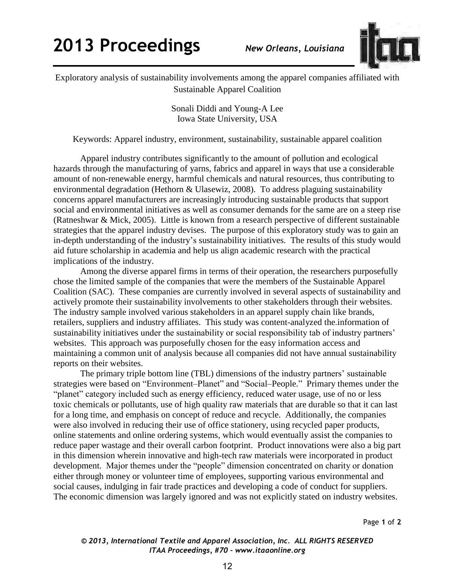## **2013 Proceedings** *New Orleans, Louisiana*



Exploratory analysis of sustainability involvements among the apparel companies affiliated with Sustainable Apparel Coalition

> Sonali Diddi and Young-A Lee Iowa State University, USA

Keywords: Apparel industry, environment, sustainability, sustainable apparel coalition

 Apparel industry contributes significantly to the amount of pollution and ecological hazards through the manufacturing of yarns, fabrics and apparel in ways that use a considerable amount of non-renewable energy, harmful chemicals and natural resources, thus contributing to environmental degradation (Hethorn & Ulasewiz, 2008). To address plaguing sustainability concerns apparel manufacturers are increasingly introducing sustainable products that support social and environmental initiatives as well as consumer demands for the same are on a steep rise (Ratneshwar & Mick, 2005). Little is known from a research perspective of different sustainable strategies that the apparel industry devises. The purpose of this exploratory study was to gain an in-depth understanding of the industry's sustainability initiatives. The results of this study would aid future scholarship in academia and help us align academic research with the practical implications of the industry.

Among the diverse apparel firms in terms of their operation, the researchers purposefully chose the limited sample of the companies that were the members of the Sustainable Apparel Coalition (SAC). These companies are currently involved in several aspects of sustainability and actively promote their sustainability involvements to other stakeholders through their websites. The industry sample involved various stakeholders in an apparel supply chain like brands, retailers, suppliers and industry affiliates. This study was content-analyzed the information of sustainability initiatives under the sustainability or social responsibility tab of industry partners' websites. This approach was purposefully chosen for the easy information access and maintaining a common unit of analysis because all companies did not have annual sustainability reports on their websites.

The primary triple bottom line (TBL) dimensions of the industry partners' sustainable strategies were based on "Environment–Planet" and "Social–People." Primary themes under the "planet" category included such as energy efficiency, reduced water usage, use of no or less toxic chemicals or pollutants, use of high quality raw materials that are durable so that it can last for a long time, and emphasis on concept of reduce and recycle. Additionally, the companies were also involved in reducing their use of office stationery, using recycled paper products, online statements and online ordering systems, which would eventually assist the companies to reduce paper wastage and their overall carbon footprint. Product innovations were also a big part in this dimension wherein innovative and high-tech raw materials were incorporated in product development. Major themes under the "people" dimension concentrated on charity or donation either through money or volunteer time of employees, supporting various environmental and social causes, indulging in fair trade practices and developing a code of conduct for suppliers. The economic dimension was largely ignored and was not explicitly stated on industry websites.

Page **1** of **2** 

*© 2013, International Textile and Apparel Association, Inc. ALL RIGHTS RESERVED ITAA Proceedings, #70 – www.itaaonline.org*